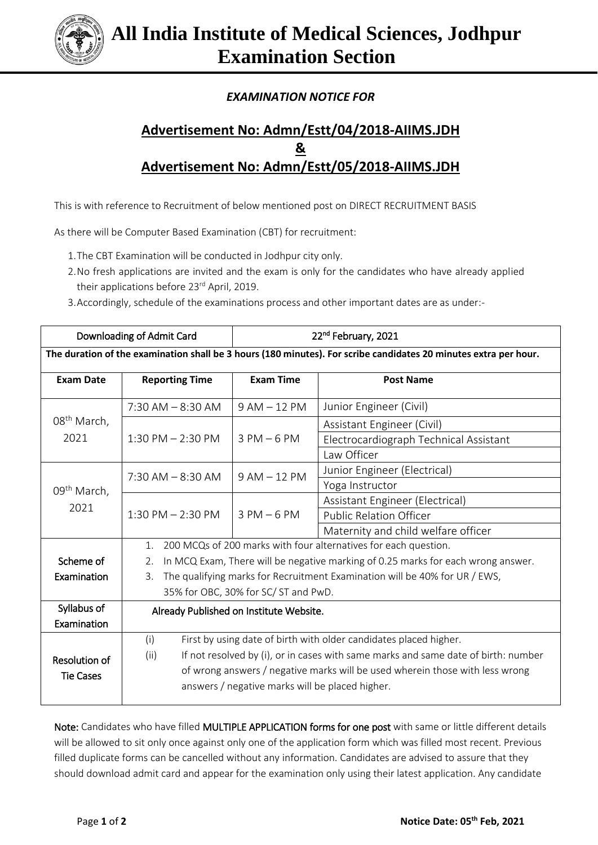

## *EXAMINATION NOTICE FOR*

## **Advertisement No: Admn/Estt/04/2018-AIIMS.JDH & Advertisement No: Admn/Estt/05/2018-AIIMS.JDH**

This is with reference to Recruitment of below mentioned post on DIRECT RECRUITMENT BASIS

As there will be Computer Based Examination (CBT) for recruitment:

- 1.The CBT Examination will be conducted in Jodhpur city only.
- 2.No fresh applications are invited and the exam is only for the candidates who have already applied their applications before 23rd April, 2019.
- 3.Accordingly, schedule of the examinations process and other important dates are as under:-

| Downloading of Admit Card                                                                                        |                                                                                            | 22 <sup>nd</sup> February, 2021 |                                        |
|------------------------------------------------------------------------------------------------------------------|--------------------------------------------------------------------------------------------|---------------------------------|----------------------------------------|
| The duration of the examination shall be 3 hours (180 minutes). For scribe candidates 20 minutes extra per hour. |                                                                                            |                                 |                                        |
| <b>Exam Date</b>                                                                                                 | <b>Reporting Time</b>                                                                      | <b>Exam Time</b>                | <b>Post Name</b>                       |
| 08 <sup>th</sup> March,<br>2021                                                                                  | $7:30$ AM $-8:30$ AM                                                                       | $9 AM - 12 PM$                  | Junior Engineer (Civil)                |
|                                                                                                                  | $1:30$ PM $- 2:30$ PM                                                                      | $3 PM - 6 PM$                   | Assistant Engineer (Civil)             |
|                                                                                                                  |                                                                                            |                                 | Electrocardiograph Technical Assistant |
|                                                                                                                  |                                                                                            |                                 | Law Officer                            |
| 09 <sup>th</sup> March,<br>2021                                                                                  | $7:30$ AM $-8:30$ AM                                                                       | $9AM - 12PM$                    | Junior Engineer (Electrical)           |
|                                                                                                                  |                                                                                            |                                 | Yoga Instructor                        |
|                                                                                                                  | $1:30$ PM $- 2:30$ PM                                                                      | $3$ PM $-6$ PM                  | Assistant Engineer (Electrical)        |
|                                                                                                                  |                                                                                            |                                 | <b>Public Relation Officer</b>         |
|                                                                                                                  |                                                                                            |                                 | Maternity and child welfare officer    |
|                                                                                                                  | 200 MCQs of 200 marks with four alternatives for each question.<br>1.                      |                                 |                                        |
| Scheme of                                                                                                        | In MCQ Exam, There will be negative marking of 0.25 marks for each wrong answer.<br>2.     |                                 |                                        |
| Examination                                                                                                      | The qualifying marks for Recruitment Examination will be 40% for UR / EWS,<br>3.           |                                 |                                        |
|                                                                                                                  | 35% for OBC, 30% for SC/ST and PwD.                                                        |                                 |                                        |
| Syllabus of                                                                                                      | Already Published on Institute Website.                                                    |                                 |                                        |
| Examination                                                                                                      |                                                                                            |                                 |                                        |
| Resolution of<br><b>Tie Cases</b>                                                                                | First by using date of birth with older candidates placed higher.<br>(i)                   |                                 |                                        |
|                                                                                                                  | If not resolved by (i), or in cases with same marks and same date of birth: number<br>(ii) |                                 |                                        |
|                                                                                                                  | of wrong answers / negative marks will be used wherein those with less wrong               |                                 |                                        |
|                                                                                                                  | answers / negative marks will be placed higher.                                            |                                 |                                        |

Note: Candidates who have filled MULTIPLE APPLICATION forms for one post with same or little different details will be allowed to sit only once against only one of the application form which was filled most recent. Previous filled duplicate forms can be cancelled without any information. Candidates are advised to assure that they should download admit card and appear for the examination only using their latest application. Any candidate